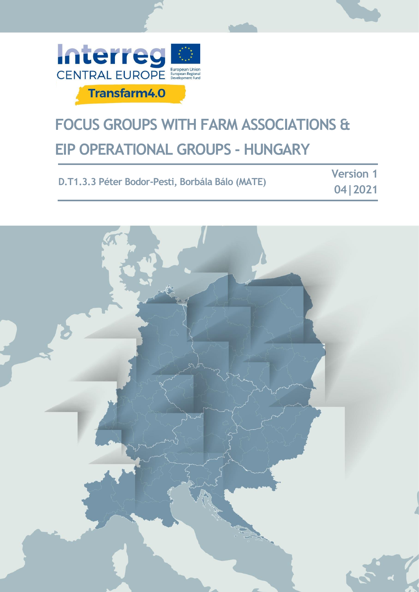

## **FOCUS GROUPS WITH FARM ASSOCIATIONS & EIP OPERATIONAL GROUPS - HUNGARY**

|                                                 | <b>Version</b> 1 |
|-------------------------------------------------|------------------|
| D.T1.3.3 Péter Bodor-Pesti, Borbála Bálo (MATE) | 0412021          |

**Version 1**

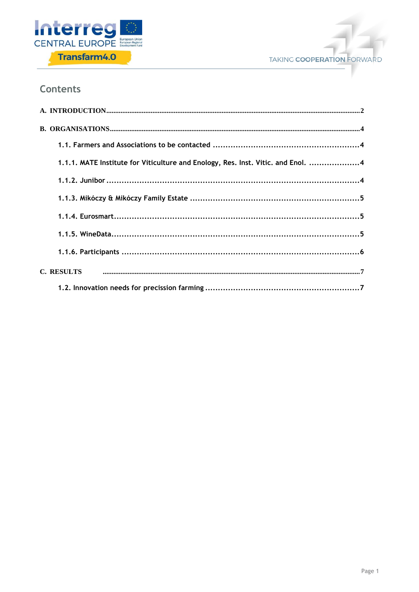



### **Contents**

| 1.1.1. MATE Institute for Viticulture and Enology, Res. Inst. Vitic. and Enol. 4 |  |
|----------------------------------------------------------------------------------|--|
|                                                                                  |  |
|                                                                                  |  |
|                                                                                  |  |
|                                                                                  |  |
|                                                                                  |  |
|                                                                                  |  |
|                                                                                  |  |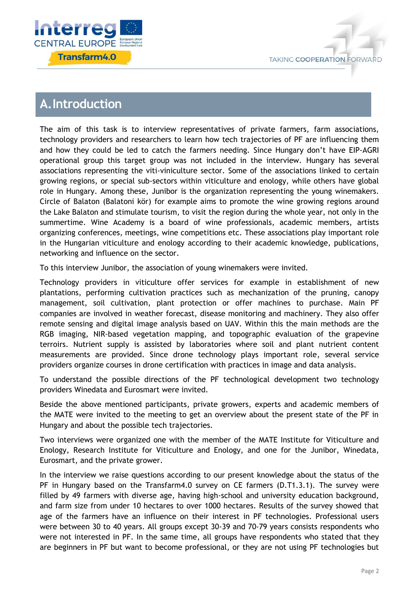



## <span id="page-2-0"></span>**A.Introduction**

The aim of this task is to interview representatives of private farmers, farm associations, technology providers and researchers to learn how tech trajectories of PF are influencing them and how they could be led to catch the farmers needing. Since Hungary don't have EIP-AGRI operational group this target group was not included in the interview. Hungary has several associations representing the viti-viniculture sector. Some of the associations linked to certain growing regions, or special sub-sectors within viticulture and enology, while others have global role in Hungary. Among these, Junibor is the organization representing the young winemakers. Circle of Balaton (Balatoni kör) for example aims to promote the wine growing regions around the Lake Balaton and stimulate tourism, to visit the region during the whole year, not only in the summertime. Wine Academy is a board of wine professionals, academic members, artists organizing conferences, meetings, wine competitions etc. These associations play important role in the Hungarian viticulture and enology according to their academic knowledge, publications, networking and influence on the sector.

To this interview Junibor, the association of young winemakers were invited.

Technology providers in viticulture offer services for example in establishment of new plantations, performing cultivation practices such as mechanization of the pruning, canopy management, soil cultivation, plant protection or offer machines to purchase. Main PF companies are involved in weather forecast, disease monitoring and machinery. They also offer remote sensing and digital image analysis based on UAV. Within this the main methods are the RGB imaging, NIR-based vegetation mapping, and topographic evaluation of the grapevine terroirs. Nutrient supply is assisted by laboratories where soil and plant nutrient content measurements are provided. Since drone technology plays important role, several service providers organize courses in drone certification with practices in image and data analysis.

To understand the possible directions of the PF technological development two technology providers Winedata and Eurosmart were invited.

Beside the above mentioned participants, private growers, experts and academic members of the MATE were invited to the meeting to get an overview about the present state of the PF in Hungary and about the possible tech trajectories.

Two interviews were organized one with the member of the MATE Institute for Viticulture and Enology, Research Institute for Viticulture and Enology, and one for the Junibor, Winedata, Eurosmart, and the private grower.

In the interview we raise questions according to our present knowledge about the status of the PF in Hungary based on the Transfarm4.0 survey on CE farmers (D.T1.3.1). The survey were filled by 49 farmers with diverse age, having high-school and university education background, and farm size from under 10 hectares to over 1000 hectares. Results of the survey showed that age of the farmers have an influence on their interest in PF technologies. Professional users were between 30 to 40 years. All groups except 30-39 and 70-79 years consists respondents who were not interested in PF. In the same time, all groups have respondents who stated that they are beginners in PF but want to become professional, or they are not using PF technologies but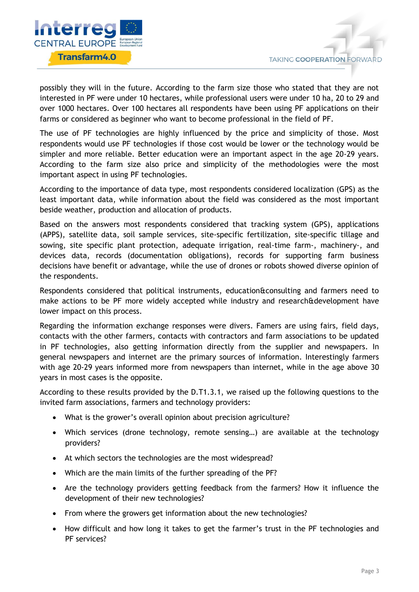

possibly they will in the future. According to the farm size those who stated that they are not interested in PF were under 10 hectares, while professional users were under 10 ha, 20 to 29 and over 1000 hectares. Over 100 hectares all respondents have been using PF applications on their farms or considered as beginner who want to become professional in the field of PF.

The use of PF technologies are highly influenced by the price and simplicity of those. Most respondents would use PF technologies if those cost would be lower or the technology would be simpler and more reliable. Better education were an important aspect in the age 20-29 years. According to the farm size also price and simplicity of the methodologies were the most important aspect in using PF technologies.

According to the importance of data type, most respondents considered localization (GPS) as the least important data, while information about the field was considered as the most important beside weather, production and allocation of products.

Based on the answers most respondents considered that tracking system (GPS), applications (APPS), satellite data, soil sample services, site-specific fertilization, site-specific tillage and sowing, site specific plant protection, adequate irrigation, real-time farm-, machinery-, and devices data, records (documentation obligations), records for supporting farm business decisions have benefit or advantage, while the use of drones or robots showed diverse opinion of the respondents.

Respondents considered that political instruments, education&consulting and farmers need to make actions to be PF more widely accepted while industry and research&development have lower impact on this process.

Regarding the information exchange responses were divers. Famers are using fairs, field days, contacts with the other farmers, contacts with contractors and farm associations to be updated in PF technologies, also getting information directly from the supplier and newspapers. In general newspapers and internet are the primary sources of information. Interestingly farmers with age 20-29 years informed more from newspapers than internet, while in the age above 30 years in most cases is the opposite.

According to these results provided by the D.T1.3.1, we raised up the following questions to the invited farm associations, farmers and technology providers:

- What is the grower's overall opinion about precision agriculture?
- Which services (drone technology, remote sensing…) are available at the technology providers?
- At which sectors the technologies are the most widespread?
- Which are the main limits of the further spreading of the PF?
- Are the technology providers getting feedback from the farmers? How it influence the development of their new technologies?
- From where the growers get information about the new technologies?
- How difficult and how long it takes to get the farmer's trust in the PF technologies and PF services?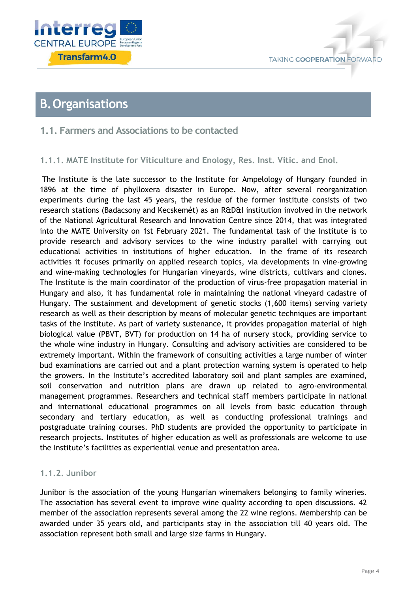



### <span id="page-4-0"></span>**B.Organisations**

### <span id="page-4-1"></span>**1.1. Farmers and Associations to be contacted**

### <span id="page-4-2"></span>**1.1.1. MATE Institute for Viticulture and Enology, Res. Inst. Vitic. and Enol.**

The Institute is the late successor to the Institute for Ampelology of Hungary founded in 1896 at the time of phylloxera disaster in Europe. Now, after several reorganization experiments during the last 45 years, the residue of the former institute consists of two research stations (Badacsony and Kecskemét) as an R&D&I institution involved in the network of the National Agricultural Research and Innovation Centre since 2014, that was integrated into the MATE University on 1st February 2021. The fundamental task of the Institute is to provide research and advisory services to the wine industry parallel with carrying out educational activities in institutions of higher education. In the frame of its research activities it focuses primarily on applied research topics, via developments in vine-growing and wine-making technologies for Hungarian vineyards, wine districts, cultivars and clones. The Institute is the main coordinator of the production of virus-free propagation material in Hungary and also, it has fundamental role in maintaining the national vineyard cadastre of Hungary. The sustainment and development of genetic stocks (1,600 items) serving variety research as well as their description by means of molecular genetic techniques are important tasks of the Institute. As part of variety sustenance, it provides propagation material of high biological value (PBVT, BVT) for production on 14 ha of nursery stock, providing service to the whole wine industry in Hungary. Consulting and advisory activities are considered to be extremely important. Within the framework of consulting activities a large number of winter bud examinations are carried out and a plant protection warning system is operated to help the growers. In the Institute's accredited laboratory soil and plant samples are examined, soil conservation and nutrition plans are drawn up related to agro-environmental management programmes. Researchers and technical staff members participate in national and international educational programmes on all levels from basic education through secondary and tertiary education, as well as conducting professional trainings and postgraduate training courses. PhD students are provided the opportunity to participate in research projects. Institutes of higher education as well as professionals are welcome to use the Institute's facilities as experiential venue and presentation area.

### <span id="page-4-3"></span>**1.1.2. Junibor**

Junibor is the association of the young Hungarian winemakers belonging to family wineries. The association has several event to improve wine quality according to open discussions. 42 member of the association represents several among the 22 wine regions. Membership can be awarded under 35 years old, and participants stay in the association till 40 years old. The association represent both small and large size farms in Hungary.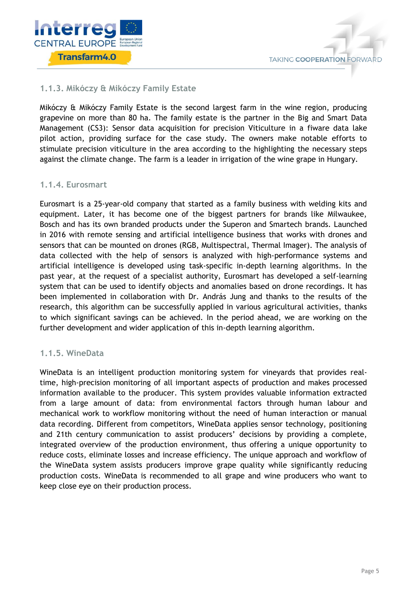

# **TAKING COOPERATION FORWARD**

### <span id="page-5-0"></span>**1.1.3. Mikóczy & Mikóczy Family Estate**

Mikóczy & Mikóczy Family Estate is the second largest farm in the wine region, producing grapevine on more than 80 ha. The family estate is the partner in the Big and Smart Data Management (CS3): Sensor data acquisition for precision Viticulture in a fiware data lake pilot action, providing surface for the case study. The owners make notable efforts to stimulate precision viticulture in the area according to the highlighting the necessary steps against the climate change. The farm is a leader in irrigation of the wine grape in Hungary.

### <span id="page-5-1"></span>**1.1.4. Eurosmart**

Eurosmart is a 25-year-old company that started as a family business with welding kits and equipment. Later, it has become one of the biggest partners for brands like Milwaukee, Bosch and has its own branded products under the Superon and Smartech brands. Launched in 2016 with remote sensing and artificial intelligence business that works with drones and sensors that can be mounted on drones (RGB, Multispectral, Thermal Imager). The analysis of data collected with the help of sensors is analyzed with high-performance systems and artificial intelligence is developed using task-specific in-depth learning algorithms. In the past year, at the request of a specialist authority, Eurosmart has developed a self-learning system that can be used to identify objects and anomalies based on drone recordings. It has been implemented in collaboration with Dr. András Jung and thanks to the results of the research, this algorithm can be successfully applied in various agricultural activities, thanks to which significant savings can be achieved. In the period ahead, we are working on the further development and wider application of this in-depth learning algorithm.

### <span id="page-5-2"></span>**1.1.5. WineData**

WineData is an intelligent production monitoring system for vineyards that provides realtime, high-precision monitoring of all important aspects of production and makes processed information available to the producer. This system provides valuable information extracted from a large amount of data: from environmental factors through human labour and mechanical work to workflow monitoring without the need of human interaction or manual data recording. Different from competitors, WineData applies sensor technology, positioning and 21th century communication to assist producers' decisions by providing a complete, integrated overview of the production environment, thus offering a unique opportunity to reduce costs, eliminate losses and increase efficiency. The unique approach and workflow of the WineData system assists producers improve grape quality while significantly reducing production costs. WineData is recommended to all grape and wine producers who want to keep close eye on their production process.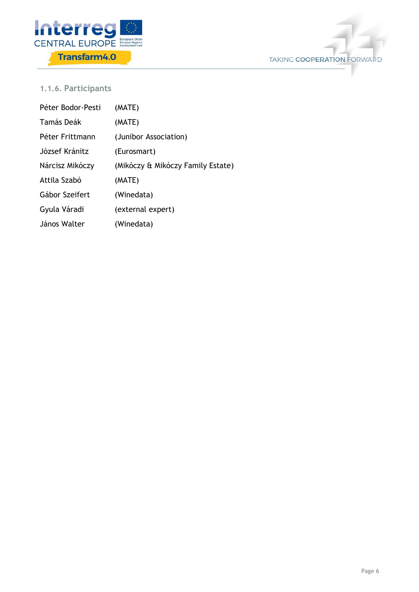



### <span id="page-6-0"></span>**1.1.6. Participants**

| Péter Bodor-Pesti | (MATE)                            |
|-------------------|-----------------------------------|
| Tamás Deák        | (MATE)                            |
| Péter Frittmann   | (Junibor Association)             |
| József Kránitz    | (Eurosmart)                       |
| Nárcisz Mikóczy   | (Mikóczy & Mikóczy Family Estate) |
| Attila Szabó      | (MATE)                            |
| Gábor Szeifert    | (Winedata)                        |
| Gyula Váradi      | (external expert)                 |
| János Walter      | (Winedata)                        |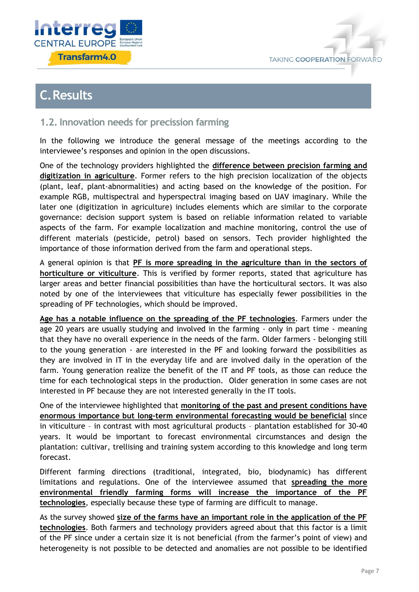



## <span id="page-7-0"></span>**C.Results**

### <span id="page-7-1"></span>**1.2. Innovation needs for precission farming**

In the following we introduce the general message of the meetings according to the interviewee's responses and opinion in the open discussions.

One of the technology providers highlighted the **difference between precision farming and digitization in agriculture**. Former refers to the high precision localization of the objects (plant, leaf, plant-abnormalities) and acting based on the knowledge of the position. For example RGB, multispectral and hyperspectral imaging based on UAV imaginary. While the later one (digitization in agriculture) includes elements which are similar to the corporate governance: decision support system is based on reliable information related to variable aspects of the farm. For example localization and machine monitoring, control the use of different materials (pesticide, petrol) based on sensors. Tech provider highlighted the importance of those information derived from the farm and operational steps.

A general opinion is that **PF is more spreading in the agriculture than in the sectors of horticulture or viticulture**. This is verified by former reports, stated that agriculture has larger areas and better financial possibilities than have the horticultural sectors. It was also noted by one of the interviewees that viticulture has especially fewer possibilities in the spreading of PF technologies, which should be improved.

**Age has a notable influence on the spreading of the PF technologies**. Farmers under the age 20 years are usually studying and involved in the farming - only in part time - meaning that they have no overall experience in the needs of the farm. Older farmers - belonging still to the young generation - are interested in the PF and looking forward the possibilities as they are involved in IT in the everyday life and are involved daily in the operation of the farm. Young generation realize the benefit of the IT and PF tools, as those can reduce the time for each technological steps in the production. Older generation in some cases are not interested in PF because they are not interested generally in the IT tools.

One of the interviewee highlighted that **monitoring of the past and present conditions have enormous importance but long-term environmental forecasting would be beneficial** since in viticulture – in contrast with most agricultural products – plantation established for 30-40 years. It would be important to forecast environmental circumstances and design the plantation: cultivar, trellising and training system according to this knowledge and long term forecast.

Different farming directions (traditional, integrated, bio, biodynamic) has different limitations and regulations. One of the interviewee assumed that **spreading the more environmental friendly farming forms will increase the importance of the PF technologies**, especially because these type of farming are difficult to manage.

As the survey showed **size of the farms have an important role in the application of the PF technologies**. Both farmers and technology providers agreed about that this factor is a limit of the PF since under a certain size it is not beneficial (from the farmer's point of view) and heterogeneity is not possible to be detected and anomalies are not possible to be identified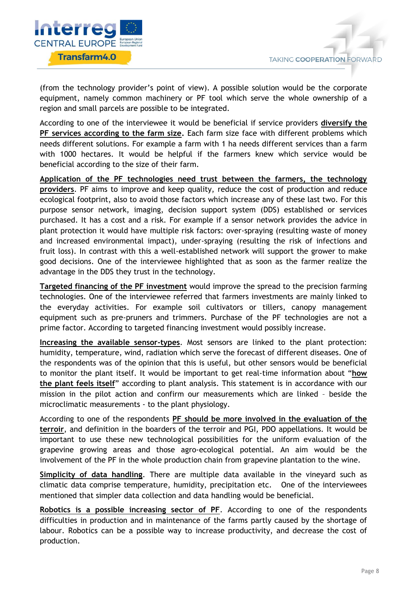

(from the technology provider's point of view). A possible solution would be the corporate equipment, namely common machinery or PF tool which serve the whole ownership of a region and small parcels are possible to be integrated.

According to one of the interviewee it would be beneficial if service providers **diversify the PF services according to the farm size.** Each farm size face with different problems which needs different solutions. For example a farm with 1 ha needs different services than a farm with 1000 hectares. It would be helpful if the farmers knew which service would be beneficial according to the size of their farm.

**Application of the PF technologies need trust between the farmers, the technology providers**. PF aims to improve and keep quality, reduce the cost of production and reduce ecological footprint, also to avoid those factors which increase any of these last two. For this purpose sensor network, imaging, decision support system (DDS) established or services purchased. It has a cost and a risk. For example if a sensor network provides the advice in plant protection it would have multiple risk factors: over-spraying (resulting waste of money and increased environmental impact), under-spraying (resulting the risk of infections and fruit loss). In contrast with this a well-established network will support the grower to make good decisions. One of the interviewee highlighted that as soon as the farmer realize the advantage in the DDS they trust in the technology.

**Targeted financing of the PF investment** would improve the spread to the precision farming technologies. One of the interviewee referred that farmers investments are mainly linked to the everyday activities. For example soil cultivators or tillers, canopy management equipment such as pre-pruners and trimmers. Purchase of the PF technologies are not a prime factor. According to targeted financing investment would possibly increase.

**Increasing the available sensor-types**. Most sensors are linked to the plant protection: humidity, temperature, wind, radiation which serve the forecast of different diseases. One of the respondents was of the opinion that this is useful, but other sensors would be beneficial to monitor the plant itself. It would be important to get real-time information about "**how the plant feels itself**" according to plant analysis. This statement is in accordance with our mission in the pilot action and confirm our measurements which are linked – beside the microclimatic measurements - to the plant physiology.

According to one of the respondents **PF should be more involved in the evaluation of the terroir**, and definition in the boarders of the terroir and PGI, PDO appellations. It would be important to use these new technological possibilities for the uniform evaluation of the grapevine growing areas and those agro-ecological potential. An aim would be the involvement of the PF in the whole production chain from grapevine plantation to the wine.

**Simplicity of data handling**. There are multiple data available in the vineyard such as climatic data comprise temperature, humidity, precipitation etc. One of the interviewees mentioned that simpler data collection and data handling would be beneficial.

**Robotics is a possible increasing sector of PF**. According to one of the respondents difficulties in production and in maintenance of the farms partly caused by the shortage of labour. Robotics can be a possible way to increase productivity, and decrease the cost of production.